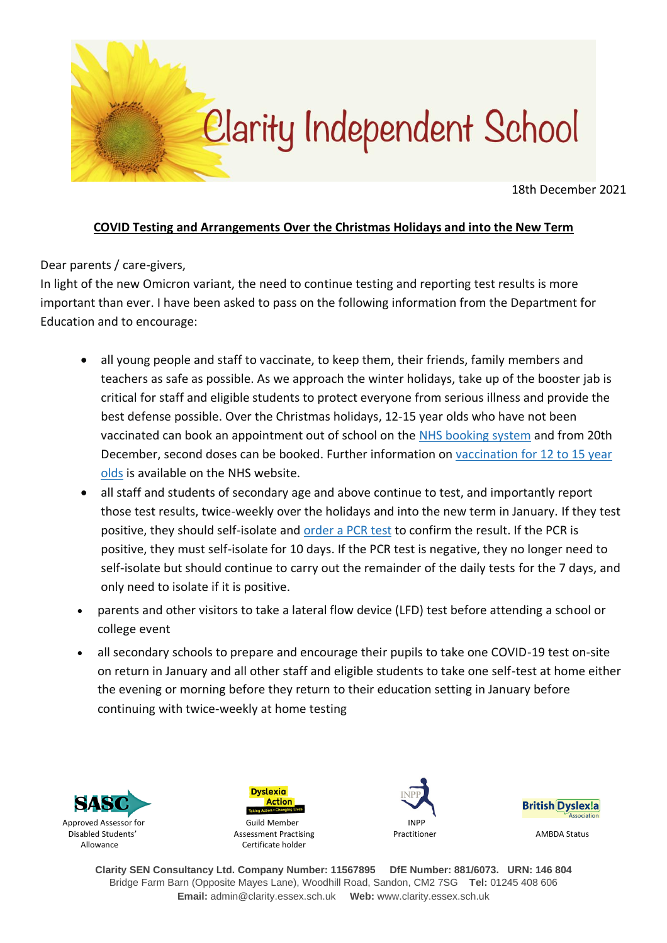

18th December 2021

### **COVID Testing and Arrangements Over the Christmas Holidays and into the New Term**

Dear parents / care-givers,

In light of the new Omicron variant, the need to continue testing and reporting test results is more important than ever. I have been asked to pass on the following information from the Department for Education and to encourage:

- all young people and staff to vaccinate, to keep them, their friends, family members and teachers as safe as possible. As we approach the winter holidays, take up of the booster jab is critical for staff and eligible students to protect everyone from serious illness and provide the best defense possible. Over the Christmas holidays, 12-15 year olds who have not been vaccinated can book an appointment out of school on the NHS [booking](https://www.nhs.uk/conditions/coronavirus-covid-19/coronavirus-vaccination/book-coronavirus-vaccination/?utm_source=14%20December%202021%20C19&utm_medium=Daily%20Email%20C19&utm_campaign=DfE%20C19) system and from 20th December, second doses can be booked. Further information on [vaccination](https://www.nhs.uk/conditions/coronavirus-covid-19/coronavirus-vaccination/coronavirus-vaccine-for-children-aged-12-to-15/?utm_source=14%20December%202021%20C19&utm_medium=Daily%20Email%20C19&utm_campaign=DfE%20C19) for 12 to 15 year [olds](https://www.nhs.uk/conditions/coronavirus-covid-19/coronavirus-vaccination/coronavirus-vaccine-for-children-aged-12-to-15/?utm_source=14%20December%202021%20C19&utm_medium=Daily%20Email%20C19&utm_campaign=DfE%20C19) is available on the NHS website.
- all staff and students of secondary age and above continue to test, and importantly report those test results, twice-weekly over the holidays and into the new term in January. If they test positive, they should self-isolate and [order](https://www.gov.uk/get-coronavirus-test?utm_source=13%20December%202021%20C19&utm_medium=Daily%20Email%20C19&utm_campaign=DfE%20C19) a PCR test to confirm the result. If the PCR is positive, they must self-isolate for 10 days. If the PCR test is negative, they no longer need to self-isolate but should continue to carry out the remainder of the daily tests for the 7 days, and only need to isolate if it is positive.
- parents and other visitors to take a lateral flow device (LFD) test before attending a school or college event
- all secondary schools to prepare and encourage their pupils to take one COVID-19 test on-site on return in January and all other staff and eligible students to take one self-test at home either the evening or morning before they return to their education setting in January before continuing with twice-weekly at home testing



**Action** Disabled Students' Assessment Practising **American Constructs** Practitioner AMBDA Status Allowance **Certificate holder** 

**Dyslexia** 





**Clarity SEN Consultancy Ltd. Company Number: 11567895 DfE Number: 881/6073. URN: 146 804** Bridge Farm Barn (Opposite Mayes Lane), Woodhill Road, Sandon, CM2 7SG **Tel:** 01245 408 606 **Email:** admin@clarity.essex.sch.uk **Web:** www.clarity.essex.sch.uk